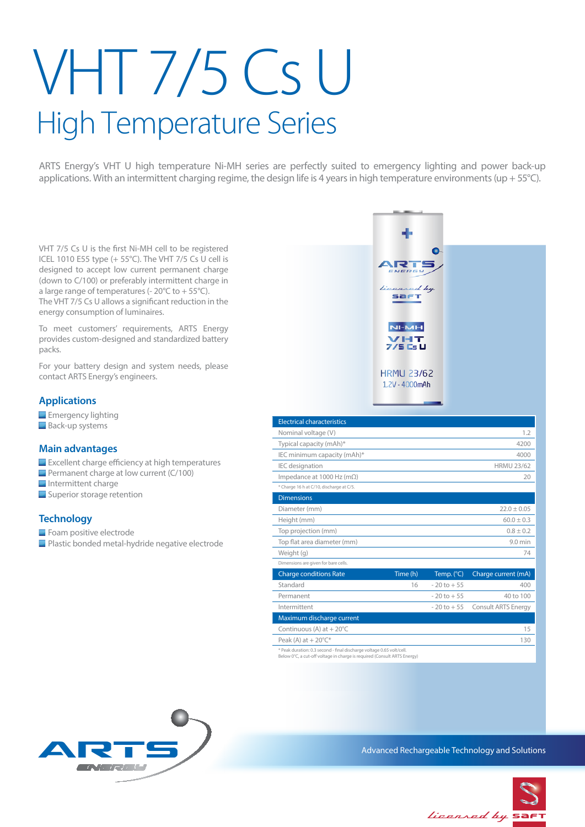# VHT 7/5 Cs U High Temperature Series

ARTS Energy's VHT U high temperature Ni-MH series are perfectly suited to emergency lighting and power back-up applications. With an intermittent charging regime, the design life is 4 years in high temperature environments (up + 55 $^{\circ}$ C).

VHT 7/5 Cs U is the first Ni-MH cell to be registered ICEL 1010 E55 type (+ 55°C). The VHT 7/5 Cs U cell is designed to accept low current permanent charge (down to C/100) or preferably intermittent charge in a large range of temperatures (-  $20^{\circ}$ C to +  $55^{\circ}$ C). The VHT 7/5 Cs U allows a significant reduction in the energy consumption of luminaires.

To meet customers' requirements, ARTS Energy provides custom-designed and standardized battery packs.

For your battery design and system needs, please contact ARTS Energy's engineers.

# **Applications**

**Emergency lighting Back-up systems** 

# **Main advantages**

- **Excellent charge efficiency at high temperatures**
- **Permanent charge at low current (C/100)**
- $\blacksquare$  Intermittent charge
- Superior storage retention

# **Technology**

Foam positive electrode **Plastic bonded metal-hydride negative electrode** 



| Weight (g)                                                            |          |                     | 74                                 |
|-----------------------------------------------------------------------|----------|---------------------|------------------------------------|
| Dimensions are given for bare cells.                                  |          |                     |                                    |
| <b>Charge conditions Rate</b>                                         | Time (h) | Temp. $(^{\circ}C)$ | Charge current (mA)                |
| Standard                                                              | 16       | $-20$ to $+55$      | 400                                |
| Permanent                                                             |          | $-20$ to $+55$      | 40 to 100                          |
| Intermittent                                                          |          |                     | $-20$ to $+55$ Consult ARTS Energy |
| Maximum discharge current                                             |          |                     |                                    |
| Continuous (A) at $+20^{\circ}$ C                                     |          |                     | 15                                 |
| Peak (A) at $+20^{\circ}$ C*                                          |          |                     | 130                                |
| * Peak duration: 0.3 second - final discharge voltage 0.65 volt/cell. |          |                     |                                    |

\* Peak duration: 0.3 second - final discharge voltage 0.65 volt/cell. Below 0°C, a cut-off voltage in charge is required (Consult ARTS Energy)